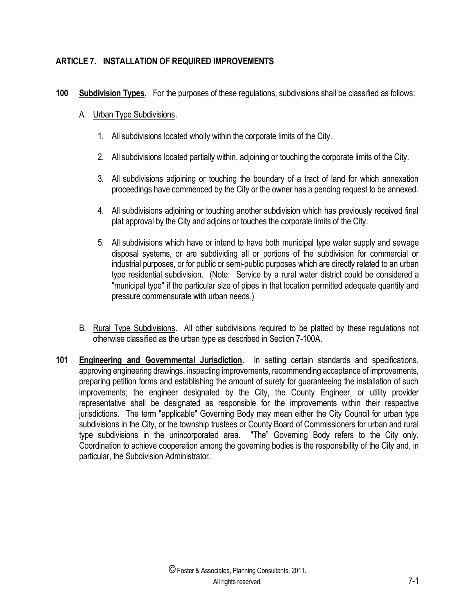## **ARTICLE 7. INSTALLATION OF REQUIRED IMPROVEMENTS**

- **100 Subdivision Types.** For the purposes of these regulations, subdivisions shall be classified as follows:
	- A. Urban Type Subdivisions.
		- 1. All subdivisions located wholly within the corporate limits of the City.
		- 2. All subdivisions located partially within, adjoining or touching the corporate limits of the City.
		- 3. All subdivisions adjoining or touching the boundary of a tract of land for which annexation proceedings have commenced by the City or the owner has a pending request to be annexed.
		- 4. All subdivisions adjoining or touching another subdivision which has previously received final plat approval by the City and adjoins or touches the corporate limits of the City.
		- 5. All subdivisions which have or intend to have both municipal type water supply and sewage disposal systems, or are subdividing all or portions of the subdivision for commercial or industrial purposes, or for public or semi-public purposes which are directly related to an urban type residential subdivision. (Note: Service by a rural water district could be considered a "municipal type" if the particular size of pipes in that location permitted adequate quantity and pressure commensurate with urban needs.)
	- B. Rural Type Subdivisions. All other subdivisions required to be platted by these regulations not otherwise classified as the urban type as described in Section 7-100A.
- **101 Engineering and Governmental Jurisdiction.** In setting certain standards and specifications, approving engineering drawings, inspecting improvements, recommending acceptance of improvements, preparing petition forms and establishing the amount of surety for guaranteeing the installation of such improvements; the engineer designated by the City, the County Engineer, or utility provider representative shall be designated as responsible for the improvements within their respective jurisdictions. The term "applicable" Governing Body may mean either the City Council for urban type subdivisions in the City, or the township trustees or County Board of Commissioners for urban and rural type subdivisions in the unincorporated area. "The" Governing Body refers to the City only. Coordination to achieve cooperation among the governing bodies is the responsibility of the City and, in particular, the Subdivision Administrator.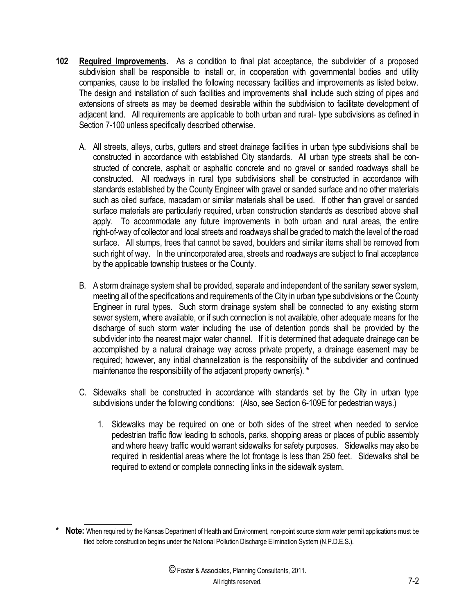- **102 Required Improvements.** As a condition to final plat acceptance, the subdivider of a proposed subdivision shall be responsible to install or, in cooperation with governmental bodies and utility companies, cause to be installed the following necessary facilities and improvements as listed below. The design and installation of such facilities and improvements shall include such sizing of pipes and extensions of streets as may be deemed desirable within the subdivision to facilitate development of adjacent land. All requirements are applicable to both urban and rural- type subdivisions as defined in Section 7-100 unless specifically described otherwise.
	- A. All streets, alleys, curbs, gutters and street drainage facilities in urban type subdivisions shall be constructed in accordance with established City standards. All urban type streets shall be constructed of concrete, asphalt or asphaltic concrete and no gravel or sanded roadways shall be constructed. All roadways in rural type subdivisions shall be constructed in accordance with standards established by the County Engineer with gravel or sanded surface and no other materials such as oiled surface, macadam or similar materials shall be used. If other than gravel or sanded surface materials are particularly required, urban construction standards as described above shall apply. To accommodate any future improvements in both urban and rural areas, the entire right-of-way of collector and local streets and roadways shall be graded to match the level of the road surface. All stumps, trees that cannot be saved, boulders and similar items shall be removed from such right of way. In the unincorporated area, streets and roadways are subject to final acceptance by the applicable township trustees or the County.
	- B. A storm drainage system shall be provided, separate and independent of the sanitary sewer system, meeting all of the specifications and requirements of the City in urban type subdivisions or the County Engineer in rural types. Such storm drainage system shall be connected to any existing storm sewer system, where available, or if such connection is not available, other adequate means for the discharge of such storm water including the use of detention ponds shall be provided by the subdivider into the nearest major water channel. If it is determined that adequate drainage can be accomplished by a natural drainage way across private property, a drainage easement may be required; however, any initial channelization is the responsibility of the subdivider and continued maintenance the responsibility of the adjacent property owner(s). **\***
	- C. Sidewalks shall be constructed in accordance with standards set by the City in urban type subdivisions under the following conditions: (Also, see Section 6-109E for pedestrian ways.)
		- 1. Sidewalks may be required on one or both sides of the street when needed to service pedestrian traffic flow leading to schools, parks, shopping areas or places of public assembly and where heavy traffic would warrant sidewalks for safety purposes. Sidewalks may also be required in residential areas where the lot frontage is less than 250 feet. Sidewalks shall be required to extend or complete connecting links in the sidewalk system.

 $\overline{\phantom{a}}$ 

**<sup>\*</sup> Note:** When required by the Kansas Department of Health and Environment, non-point source storm water permit applications must be filed before construction begins under the National Pollution Discharge Elimination System (N.P.D.E.S.).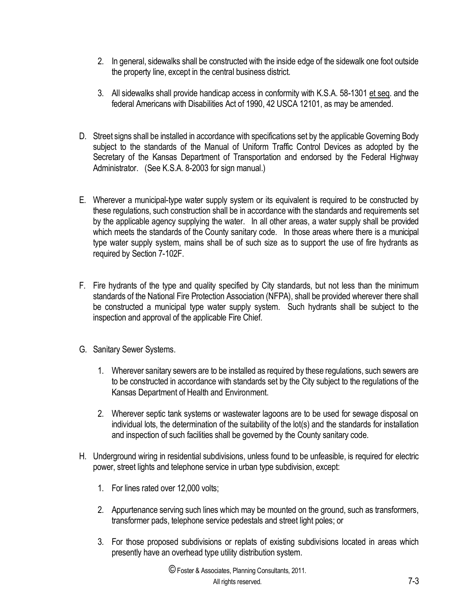- 2. In general, sidewalks shall be constructed with the inside edge of the sidewalk one foot outside the property line, except in the central business district.
- 3. All sidewalks shall provide handicap access in conformity with K.S.A. 58-1301 et seq. and the federal Americans with Disabilities Act of 1990, 42 USCA 12101, as may be amended.
- D. Street signs shall be installed in accordance with specifications set by the applicable Governing Body subject to the standards of the Manual of Uniform Traffic Control Devices as adopted by the Secretary of the Kansas Department of Transportation and endorsed by the Federal Highway Administrator. (See K.S.A. 8-2003 for sign manual.)
- E. Wherever a municipal-type water supply system or its equivalent is required to be constructed by these regulations, such construction shall be in accordance with the standards and requirements set by the applicable agency supplying the water. In all other areas, a water supply shall be provided which meets the standards of the County sanitary code. In those areas where there is a municipal type water supply system, mains shall be of such size as to support the use of fire hydrants as required by Section 7-102F.
- F. Fire hydrants of the type and quality specified by City standards, but not less than the minimum standards of the National Fire Protection Association (NFPA), shall be provided wherever there shall be constructed a municipal type water supply system. Such hydrants shall be subject to the inspection and approval of the applicable Fire Chief.
- G. Sanitary Sewer Systems.
	- 1. Wherever sanitary sewers are to be installed as required by these regulations, such sewers are to be constructed in accordance with standards set by the City subject to the regulations of the Kansas Department of Health and Environment.
	- 2. Wherever septic tank systems or wastewater lagoons are to be used for sewage disposal on individual lots, the determination of the suitability of the lot(s) and the standards for installation and inspection of such facilities shall be governed by the County sanitary code.
- H. Underground wiring in residential subdivisions, unless found to be unfeasible, is required for electric power, street lights and telephone service in urban type subdivision, except:
	- 1. For lines rated over 12,000 volts;
	- 2. Appurtenance serving such lines which may be mounted on the ground, such as transformers, transformer pads, telephone service pedestals and street light poles; or
	- 3. For those proposed subdivisions or replats of existing subdivisions located in areas which presently have an overhead type utility distribution system.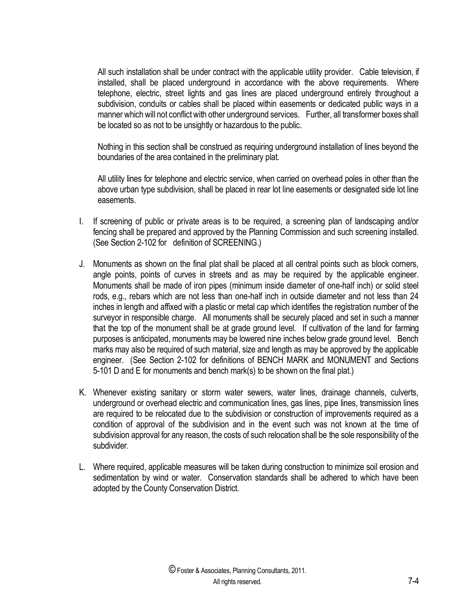All such installation shall be under contract with the applicable utility provider. Cable television, if installed, shall be placed underground in accordance with the above requirements. Where telephone, electric, street lights and gas lines are placed underground entirely throughout a subdivision, conduits or cables shall be placed within easements or dedicated public ways in a manner which will not conflict with other underground services. Further, all transformer boxes shall be located so as not to be unsightly or hazardous to the public.

Nothing in this section shall be construed as requiring underground installation of lines beyond the boundaries of the area contained in the preliminary plat.

All utility lines for telephone and electric service, when carried on overhead poles in other than the above urban type subdivision, shall be placed in rear lot line easements or designated side lot line easements.

- I. If screening of public or private areas is to be required, a screening plan of landscaping and/or fencing shall be prepared and approved by the Planning Commission and such screening installed. (See Section 2-102 for definition of SCREENING.)
- J. Monuments as shown on the final plat shall be placed at all central points such as block corners, angle points, points of curves in streets and as may be required by the applicable engineer. Monuments shall be made of iron pipes (minimum inside diameter of one-half inch) or solid steel rods, e.g., rebars which are not less than one-half inch in outside diameter and not less than 24 inches in length and affixed with a plastic or metal cap which identifies the registration number of the surveyor in responsible charge. All monuments shall be securely placed and set in such a manner that the top of the monument shall be at grade ground level. If cultivation of the land for farming purposes is anticipated, monuments may be lowered nine inches below grade ground level. Bench marks may also be required of such material, size and length as may be approved by the applicable engineer. (See Section 2-102 for definitions of BENCH MARK and MONUMENT and Sections 5-101 D and E for monuments and bench mark(s) to be shown on the final plat.)
- K. Whenever existing sanitary or storm water sewers, water lines, drainage channels, culverts, underground or overhead electric and communication lines, gas lines, pipe lines, transmission lines are required to be relocated due to the subdivision or construction of improvements required as a condition of approval of the subdivision and in the event such was not known at the time of subdivision approval for any reason, the costs of such relocation shall be the sole responsibility of the subdivider.
- L. Where required, applicable measures will be taken during construction to minimize soil erosion and sedimentation by wind or water. Conservation standards shall be adhered to which have been adopted by the County Conservation District.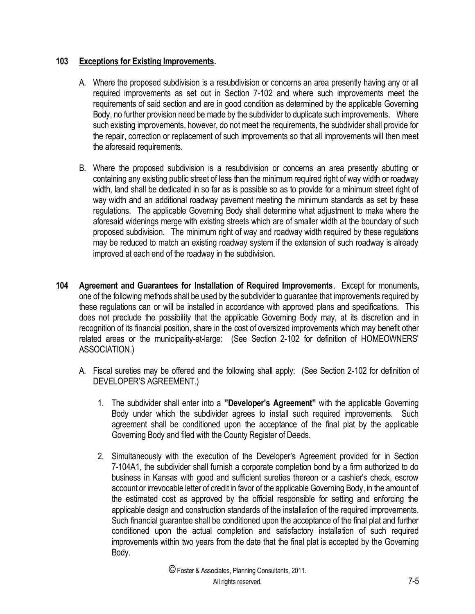## **103 Exceptions for Existing Improvements.**

- A. Where the proposed subdivision is a resubdivision or concerns an area presently having any or all required improvements as set out in Section 7-102 and where such improvements meet the requirements of said section and are in good condition as determined by the applicable Governing Body, no further provision need be made by the subdivider to duplicate such improvements. Where such existing improvements, however, do not meet the requirements, the subdivider shall provide for the repair, correction or replacement of such improvements so that all improvements will then meet the aforesaid requirements.
- B. Where the proposed subdivision is a resubdivision or concerns an area presently abutting or containing any existing public street of less than the minimum required right of way width or roadway width, land shall be dedicated in so far as is possible so as to provide for a minimum street right of way width and an additional roadway pavement meeting the minimum standards as set by these regulations. The applicable Governing Body shall determine what adjustment to make where the aforesaid widenings merge with existing streets which are of smaller width at the boundary of such proposed subdivision. The minimum right of way and roadway width required by these regulations may be reduced to match an existing roadway system if the extension of such roadway is already improved at each end of the roadway in the subdivision.
- **104 Agreement and Guarantees for Installation of Required Improvements**. Except for monuments**,** one of the following methods shall be used by the subdivider to guarantee that improvements required by these regulations can or will be installed in accordance with approved plans and specifications. This does not preclude the possibility that the applicable Governing Body may, at its discretion and in recognition of its financial position, share in the cost of oversized improvements which may benefit other related areas or the municipality-at-large: (See Section 2-102 for definition of HOMEOWNERS' ASSOCIATION.)
	- A. Fiscal sureties may be offered and the following shall apply: (See Section 2-102 for definition of DEVELOPER'S AGREEMENT.)
		- 1. The subdivider shall enter into a **"Developer's Agreement"** with the applicable Governing Body under which the subdivider agrees to install such required improvements. Such agreement shall be conditioned upon the acceptance of the final plat by the applicable Governing Body and filed with the County Register of Deeds.
		- 2. Simultaneously with the execution of the Developer's Agreement provided for in Section 7-104A1, the subdivider shall furnish a corporate completion bond by a firm authorized to do business in Kansas with good and sufficient sureties thereon or a cashier's check, escrow account or irrevocable letter of credit in favor of the applicable Governing Body, in the amount of the estimated cost as approved by the official responsible for setting and enforcing the applicable design and construction standards of the installation of the required improvements. Such financial guarantee shall be conditioned upon the acceptance of the final plat and further conditioned upon the actual completion and satisfactory installation of such required improvements within two years from the date that the final plat is accepted by the Governing Body.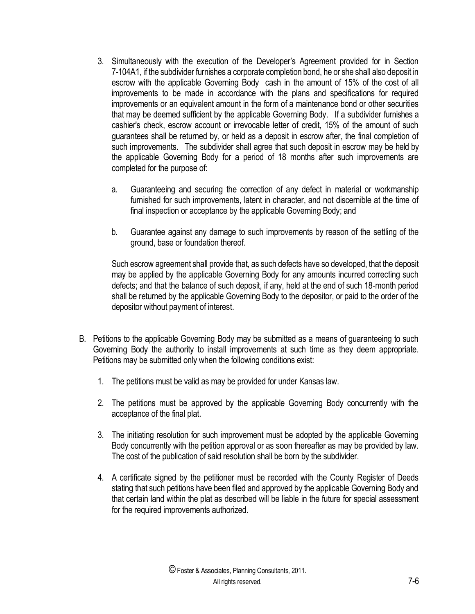- 3. Simultaneously with the execution of the Developer's Agreement provided for in Section 7-104A1, if the subdivider furnishes a corporate completion bond, he or she shall also deposit in escrow with the applicable Governing Body cash in the amount of 15% of the cost of all improvements to be made in accordance with the plans and specifications for required improvements or an equivalent amount in the form of a maintenance bond or other securities that may be deemed sufficient by the applicable Governing Body. If a subdivider furnishes a cashier's check, escrow account or irrevocable letter of credit, 15% of the amount of such guarantees shall be returned by, or held as a deposit in escrow after, the final completion of such improvements. The subdivider shall agree that such deposit in escrow may be held by the applicable Governing Body for a period of 18 months after such improvements are completed for the purpose of:
	- a. Guaranteeing and securing the correction of any defect in material or workmanship furnished for such improvements, latent in character, and not discernible at the time of final inspection or acceptance by the applicable Governing Body; and
	- b. Guarantee against any damage to such improvements by reason of the settling of the ground, base or foundation thereof.

Such escrow agreement shall provide that, as such defects have so developed, that the deposit may be applied by the applicable Governing Body for any amounts incurred correcting such defects; and that the balance of such deposit, if any, held at the end of such 18-month period shall be returned by the applicable Governing Body to the depositor, or paid to the order of the depositor without payment of interest.

- B. Petitions to the applicable Governing Body may be submitted as a means of guaranteeing to such Governing Body the authority to install improvements at such time as they deem appropriate. Petitions may be submitted only when the following conditions exist:
	- 1. The petitions must be valid as may be provided for under Kansas law.
	- 2. The petitions must be approved by the applicable Governing Body concurrently with the acceptance of the final plat.
	- 3. The initiating resolution for such improvement must be adopted by the applicable Governing Body concurrently with the petition approval or as soon thereafter as may be provided by law. The cost of the publication of said resolution shall be born by the subdivider.
	- 4. A certificate signed by the petitioner must be recorded with the County Register of Deeds stating that such petitions have been filed and approved by the applicable Governing Body and that certain land within the plat as described will be liable in the future for special assessment for the required improvements authorized.